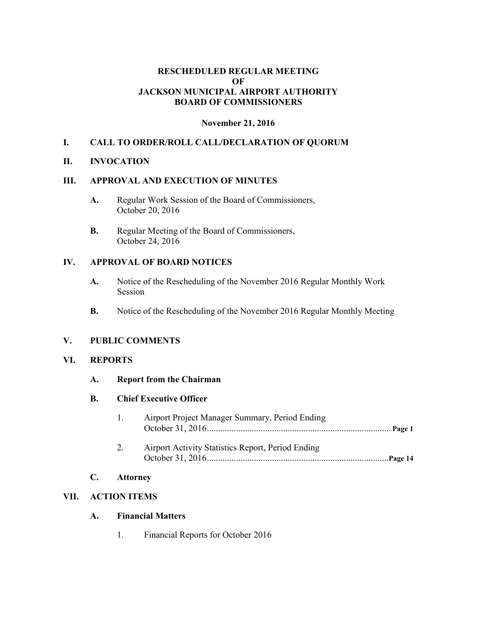### **RESCHEDULED REGULAR MEETING OF JACKSON MUNICIPAL AIRPORT AUTHORITY BOARD OF COMMISSIONERS**

### **November 21, 2016**

### **I. CALL TO ORDER/ROLL CALL/DECLARATION OF QUORUM**

#### **II. INVOCATION**

#### **III. APPROVAL AND EXECUTION OF MINUTES**

- **A.** Regular Work Session of the Board of Commissioners, October 20, 2016
- **B.** Regular Meeting of the Board of Commissioners, October 24, 2016

#### **IV. APPROVAL OF BOARD NOTICES**

- **A.** Notice of the Rescheduling of the November 2016 Regular Monthly Work Session
- **B.** Notice of the Rescheduling of the November 2016 Regular Monthly Meeting

#### **V. PUBLIC COMMENTS**

#### **VI. REPORTS**

**A. Report from the Chairman**

#### **B. Chief Executive Officer**

| $\sim$ 1 | Airport Project Manager Summary, Period Ending    |  |
|----------|---------------------------------------------------|--|
|          |                                                   |  |
| 2.       | Airport Activity Statistics Report, Period Ending |  |
|          |                                                   |  |

### **C. Attorney**

### **VII. ACTION ITEMS**

### **A. Financial Matters**

1. Financial Reports for October 2016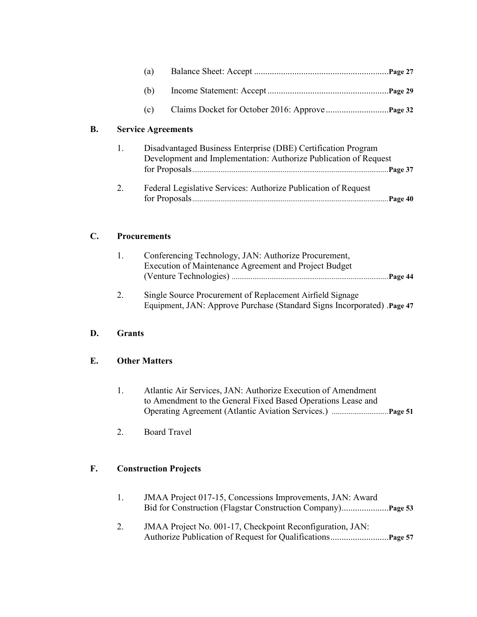|    |                           | (a) |                                                                                                                                   | Page 27 |  |
|----|---------------------------|-----|-----------------------------------------------------------------------------------------------------------------------------------|---------|--|
|    |                           | (b) |                                                                                                                                   | Page 29 |  |
|    |                           | (c) |                                                                                                                                   |         |  |
| B. | <b>Service Agreements</b> |     |                                                                                                                                   |         |  |
|    | 1.                        |     | Disadvantaged Business Enterprise (DBE) Certification Program<br>Development and Implementation: Authorize Publication of Request | Page 37 |  |
|    | 2.                        |     | Federal Legislative Services: Authorize Publication of Request                                                                    | Page 40 |  |

## **C. Procurements**

| Conferencing Technology, JAN: Authorize Procurement,  |
|-------------------------------------------------------|
| Execution of Maintenance Agreement and Project Budget |
|                                                       |
|                                                       |

2. Single Source Procurement of Replacement Airfield Signage Equipment, JAN: Approve Purchase (Standard Signs Incorporated) .**Page 47**

# **D. Grants**

## **E. Other Matters**

- 1. Atlantic Air Services, JAN: Authorize Execution of Amendment to Amendment to the General Fixed Based Operations Lease and Operating Agreement (Atlantic Aviation Services.) ..............................**Page 51**
- 2. Board Travel

# **F. Construction Projects**

| JMAA Project 017-15, Concessions Improvements, JAN: Award |
|-----------------------------------------------------------|
|                                                           |

2. JMAA Project No. 001-17, Checkpoint Reconfiguration, JAN: Authorize Publication of Request for Qualifications..........................**Page 57**